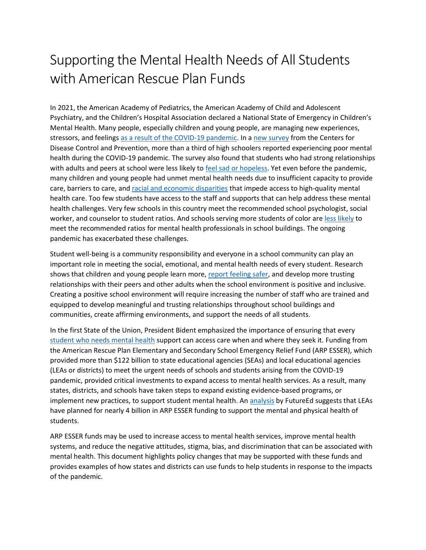## Supporting the Mental Health Needs of All Students with American Rescue Plan Funds

In 2021, the American Academy of Pediatrics, the American Academy of Child and Adolescent Psychiatry, and the Children's Hospital Association declared a National State of Emergency in Children's Mental Health. Many people, especially children and young people, are managing new experiences, stressors, and feelings as a result [of the COVID-19 pandemic.](https://www.hhs.gov/sites/default/files/surgeon-general-youth-mental-health-advisory.pdf) In [a new survey](https://www.cdc.gov/media/releases/2022/p0331-youth-mental-health-covid-19.html) from the Centers for Disease Control and Prevention, more than a third of high schoolers reported experiencing poor mental health during the COVID-19 pandemic. The survey also found that students who had strong relationships with adults and peers at school were less likely to [feel sad or hopeless.](https://www.hhs.gov/sites/default/files/surgeon-general-youth-mental-health-advisory.pdf) Yet even before the pandemic, many children and young people had unmet mental health needs due to insufficient capacity to provide care, barriers to care, and racial [and economic disparities](https://www2.ed.gov/about/offices/list/ocr/docs/20210608-impacts-of-covid19.pdf) that impede access to high-quality mental health care. Too few students have access to the staff and supports that can help address these mental health challenges. Very few schools in this country meet the recommended school psychologist, social worker, and counselor to student ratios. And schools serving more students of color ar[e less likely](https://www.edweek.org/leadership/school-counselors-and-psychologists-remain-scarce-even-as-needs-rise/2022/03) to meet the recommended ratios for mental health professionals in school buildings. The ongoing pandemic has exacerbated these challenges.

Student well-being is a community responsibility and everyone in a school community can play an important role in meeting the social, emotional, and mental health needs of every student. Research shows that children and young people learn more, [report feeling safer,](https://www2.ed.gov/documents/students/supporting-child-student-social-emotional-behavioral-mental-health.pdf) and develop more trusting relationships with their peers and other adults when the school environment is positive and inclusive. Creating a positive school environment will require increasing the number of staff who are trained and equipped to develop meaningful and trusting relationships throughout school buildings and communities, create affirming environments, and support the needs of all students.

In the first State of the Union, President Bident emphasized the importance of ensuring that every student [who needs mental health](https://www.whitehouse.gov/briefing-room/statements-releases/2022/03/01/fact-sheet-president-biden-to-announce-strategy-to-address-our-national-mental-health-crisis-as-part-of-unity-agenda-in-his-first-state-of-the-union/) support can access care when and where they seek it. Funding from the American Rescue Plan Elementary and Secondary School Emergency Relief Fund (ARP ESSER), which provided more than \$122 billion to state educational agencies (SEAs) and local educational agencies (LEAs or districts) to meet the urgent needs of schools and students arising from the COVID-19 pandemic, provided critical investments to expand access to mental health services. As a result, many states, districts, and schools have taken steps to expand existing evidence-based programs, or implement new practices, to support student mental health. An [analysis](https://www.future-ed.org/local-covid-relief-spending/) by FutureEd suggests that LEAs have planned for nearly 4 billion in ARP ESSER funding to support the mental and physical health of students.

ARP ESSER funds may be used to increase access to mental health services, improve mental health systems, and reduce the negative attitudes, stigma, bias, and discrimination that can be associated with mental health. This document highlights policy changes that may be supported with these funds and provides examples of how states and districts can use funds to help students in response to the impacts of the pandemic.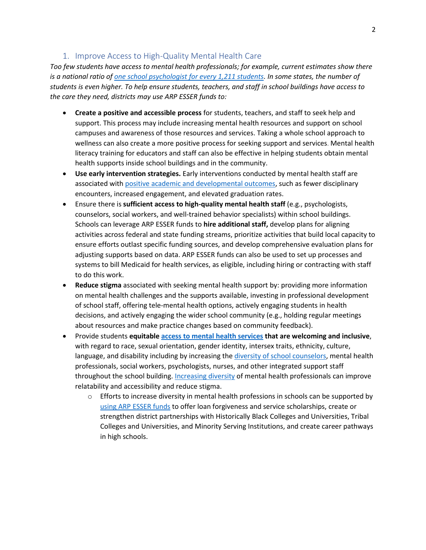## 1. Improve Access to High-Quality Mental Health Care

*Too few students have access to mental health professionals; for example, current estimates show there is a national ratio of [one school psychologist for every 1,211 students.](https://www.nasponline.org/research-and-policy/policy-priorities/critical-policy-issues/shortage-of-school-psychologists) In some states, the number of students is even higher. To help ensure students, teachers, and staff in school buildings have access to the care they need, districts may use ARP ESSER funds to:*

- **Create a positive and accessible process** for students, teachers, and staff to seek help and support. This process may include increasing mental health resources and support on school campuses and awareness of those resources and services. Taking a whole school approach to wellness can also create a more positive process for seeking support and services. Mental health literacy training for educators and staff can also be effective in helping students obtain mental health supports inside school buildings and in the community.
- **Use early intervention strategies.** Early interventions conducted by mental health staff are associated with [positive academic and developmental outcomes,](https://store.samhsa.gov/sites/default/files/d7/priv/pep19-school-guide.pdf) such as fewer disciplinary encounters, increased engagement, and elevated graduation rates.
- Ensure there is **sufficient access to high-quality mental health staff** (e.g., psychologists, counselors, social workers, and well-trained behavior specialists) within school buildings. Schools can leverage ARP ESSER funds to **hire additional staff,** develop plans for aligning activities across federal and state funding streams, prioritize activities that build local capacity to ensure efforts outlast specific funding sources, and develop comprehensive evaluation plans for adjusting supports based on data. ARP ESSER funds can also be used to set up processes and systems to bill Medicaid for health services, as eligible, including hiring or contracting with staff to do this work.
- **Reduce stigma** associated with seeking mental health support by: providing more information on mental health challenges and the supports available, investing in professional development of school staff, offering tele-mental health options, actively engaging students in health decisions, and actively engaging the wider school community (e.g., holding regular meetings about resources and make practice changes based on community feedback).
- Provide students **equitabl[e access to mental health services](https://www2.ed.gov/about/offices/list/ocr/docs/20210608-impacts-of-covid19.pdf) that are welcoming and inclusive**, with regard to race, sexual orientation, gender identity, intersex traits, ethnicity, culture, language, and disability including by increasing the [diversity of school counselors,](http://papers.cmulhern.com/Counselors_Mulhern.pdf) mental health professionals, social workers, psychologists, nurses, and other integrated support staff throughout the school building. [Increasing diversity](https://www.minorityhealth.hhs.gov/assets/pdf/HETF_Report_508_102821_9am_508Team%20WIP11-compressed.pdf) of mental health professionals can improve relatability and accessibility and reduce stigma.
	- $\circ$  Efforts to increase diversity in mental health professions in schools can be supported by using ARP [ESSER funds](https://oese.ed.gov/files/2021/05/ESSER.GEER_.FAQs_5.26.21_745AM_FINALb0cd6833f6f46e03ba2d97d30aff953260028045f9ef3b18ea602db4b32b1d99.pdf) to offer loan forgiveness and service scholarships, create or strengthen district partnerships with Historically Black Colleges and Universities, Tribal Colleges and Universities, and Minority Serving Institutions, and create career pathways in high schools.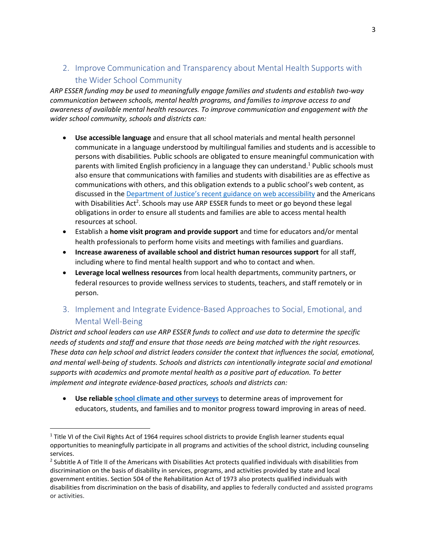## 2. Improve Communication and Transparency about Mental Health Supports with the Wider School Community

*ARP ESSER funding may be used to meaningfully engage families and students and establish two-way communication between schools, mental health programs, and families to improve access to and awareness of available mental health resources. To improve communication and engagement with the wider school community, schools and districts can:*

- **Use accessible language** and ensure that all school materials and mental health personnel communicate in a language understood by multilingual families and students and is accessible to persons with disabilities. Public schools are obligated to ensure meaningful communication with parents with limited English proficiency in a language they can understand. <sup>1</sup> Public schools must also ensure that communications with families and students with disabilities are as effective as communications with others, and this obligation extends to a public school's web content, as discussed in the [Department of Justice's recent guidance on web accessibility](https://beta.ada.gov/web-guidance/#fnref:1) and the Americans with Disabilities Act<sup>2</sup>. Schools may use ARP ESSER funds to meet or go beyond these legal obligations in order to ensure all students and families are able to access mental health resources at school.
- Establish a **home visit program and provide support** and time for educators and/or mental health professionals to perform home visits and meetings with families and guardians.
- **Increase awareness of available school and district human resources support** for all staff, including where to find mental health support and who to contact and when.
- **Leverage local wellness resources** from local health departments, community partners, or federal resources to provide wellness services to students, teachers, and staff remotely or in person.
- 3. Implement and Integrate Evidence-Based Approaches to Social, Emotional, and Mental Well-Being

*District and school leaders can use ARP ESSER funds to collect and use data to determine the specific needs of students and staff and ensure that those needs are being matched with the right resources. These data can help school and district leaders consider the context that influences the social, emotional, and mental well-being of students. Schools and districts can intentionally integrate social and emotional supports with academics and promote mental health as a positive part of education. To better implement and integrate evidence-based practices, schools and districts can:*

• **Use reliabl[e school climate and other surveys](https://safesupportivelearning.ed.gov/edscls)** to determine areas of improvement for educators, students, and families and to monitor progress toward improving in areas of need.

<sup>&</sup>lt;sup>1</sup> Title VI of the Civil Rights Act of 1964 requires school districts to provide English learner students equal opportunities to meaningfully participate in all programs and activities of the school district, including counseling services.

 $2$  Subtitle A of Title II of the Americans with Disabilities Act protects qualified individuals with disabilities from discrimination on the basis of disability in services, programs, and activities provided by state and local government entities. Section 504 of the Rehabilitation Act of 1973 also protects qualified individuals with disabilities from discrimination on the basis of disability, and applies to federally conducted and assisted programs or activities.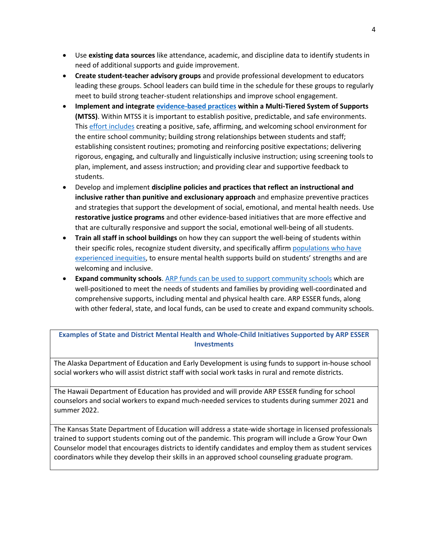- Use **existing data sources** like attendance, academic, and discipline data to identify students in need of additional supports and guide improvement.
- **Create student-teacher advisory groups** and provide professional development to educators leading these groups. School leaders can build time in the schedule for these groups to regularly meet to build strong teacher-student relationships and improve school engagement.
- **Implement and integrate [evidence-based practices](https://www.tandfonline.com/doi/full/10.1080/15582159.2019.1651980) within a Multi-Tiered System of Supports (MTSS)**. Within MTSS it is important to establish positive, predictable, and safe environments. This effort [includes](https://www2.ed.gov/documents/students/supporting-child-student-social-emotional-behavioral-mental-health.pdf) creating a positive, safe, affirming, and welcoming school environment for the entire school community; building strong relationships between students and staff; establishing consistent routines; promoting and reinforcing positive expectations; delivering rigorous, engaging, and culturally and linguistically inclusive instruction; using screening tools to plan, implement, and assess instruction; and providing clear and supportive feedback to students.
- Develop and implement **discipline policies and practices that reflect an instructional and inclusive rather than punitive and exclusionary approach** and emphasize preventive practices and strategies that support the development of social, emotional, and mental health needs. Use **restorative justice programs** and other evidence-based initiatives that are more effective and that are culturally responsive and support the social, emotional well-being of all students.
- **Train all staff in school buildings** on how they can support the well-being of students within their specific roles, recognize student diversity, and specifically affirm populations who have [experienced inequities,](https://www.minorityhealth.hhs.gov/assets/pdf/HETF_Report_508_102821_9am_508Team%20WIP11-compressed.pdf) to ensure mental health supports build on students' strengths and are welcoming and inclusive.
- **Expand community schools**[. ARP funds can be used to support community schools](https://oese.ed.gov/files/2021/07/21-0138-ARP-Community-Schools-OMB-and-OS-Approved-071421-1.pdf) which are well-positioned to meet the needs of students and families by providing well-coordinated and comprehensive supports, including mental and physical health care. ARP ESSER funds, along with other federal, state, and local funds, can be used to create and expand community schools.

**Examples of State and District Mental Health and Whole-Child Initiatives Supported by ARP ESSER Investments**

The Alaska Department of Education and Early Development is using funds to support in-house school social workers who will assist district staff with social work tasks in rural and remote districts.

The Hawaii Department of Education has provided and will provide ARP ESSER funding for school counselors and social workers to expand much-needed services to students during summer 2021 and summer 2022.

The Kansas State Department of Education will address a state-wide shortage in licensed professionals trained to support students coming out of the pandemic. This program will include a Grow Your Own Counselor model that encourages districts to identify candidates and employ them as student services coordinators while they develop their skills in an approved school counseling graduate program.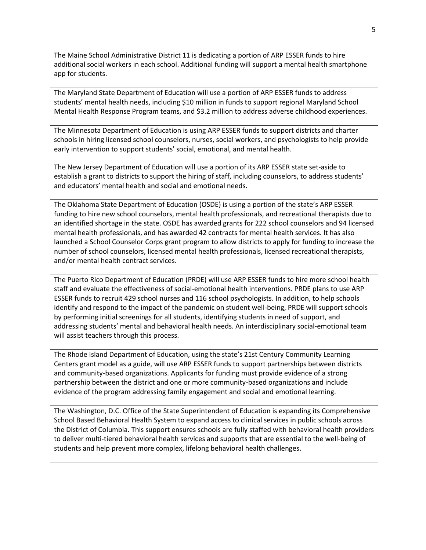The Maine School Administrative District 11 is dedicating a portion of ARP ESSER funds to hire additional social workers in each school. Additional funding will support a mental health smartphone app for students.

The Maryland State Department of Education will use a portion of ARP ESSER funds to address students' mental health needs, including \$10 million in funds to support regional Maryland School Mental Health Response Program teams, and \$3.2 million to address adverse childhood experiences.

The Minnesota Department of Education is using ARP ESSER funds to support districts and charter schools in hiring licensed school counselors, nurses, social workers, and psychologists to help provide early intervention to support students' social, emotional, and mental health.

The New Jersey Department of Education will use a portion of its ARP ESSER state set-aside to establish a grant to districts to support the hiring of staff, including counselors, to address students' and educators' mental health and social and emotional needs.

The Oklahoma State Department of Education (OSDE) is using a portion of the state's ARP ESSER funding to hire new school counselors, mental health professionals, and recreational therapists due to an identified shortage in the state. OSDE has awarded grants for 222 school counselors and 94 licensed mental health professionals, and has awarded 42 contracts for mental health services. It has also launched a School Counselor Corps grant program to allow districts to apply for funding to increase the number of school counselors, licensed mental health professionals, licensed recreational therapists, and/or mental health contract services.

The Puerto Rico Department of Education (PRDE) will use ARP ESSER funds to hire more school health staff and evaluate the effectiveness of social-emotional health interventions. PRDE plans to use ARP ESSER funds to recruit 429 school nurses and 116 school psychologists. In addition, to help schools identify and respond to the impact of the pandemic on student well-being, PRDE will support schools by performing initial screenings for all students, identifying students in need of support, and addressing students' mental and behavioral health needs. An interdisciplinary social-emotional team will assist teachers through this process.

The Rhode Island Department of Education, using the state's 21st Century Community Learning Centers grant model as a guide, will use ARP ESSER funds to support partnerships between districts and community-based organizations. Applicants for funding must provide evidence of a strong partnership between the district and one or more community-based organizations and include evidence of the program addressing family engagement and social and emotional learning.

The Washington, D.C. Office of the State Superintendent of Education is expanding its Comprehensive School Based Behavioral Health System to expand access to clinical services in public schools across the District of Columbia. This support ensures schools are fully staffed with behavioral health providers to deliver multi-tiered behavioral health services and supports that are essential to the well-being of students and help prevent more complex, lifelong behavioral health challenges.